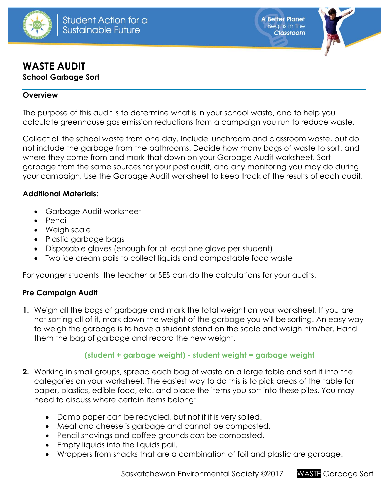

**A Better Planet Begins in the Classroom** 



# **WASTE AUDIT School Garbage Sort**

#### **Overview**

The purpose of this audit is to determine what is in your school waste, and to help you calculate greenhouse gas emission reductions from a campaign you run to reduce waste.

Collect all the school waste from one day. Include lunchroom and classroom waste, but do not include the garbage from the bathrooms. Decide how many bags of waste to sort, and where they come from and mark that down on your Garbage Audit worksheet. Sort garbage from the same sources for your post audit, and any monitoring you may do during your campaign. Use the Garbage Audit worksheet to keep track of the results of each audit.

### **Additional Materials:**

- Garbage Audit worksheet
- $\bullet$  Pencil
- Weigh scale
- Plastic garbage bags
- Disposable gloves (enough for at least one glove per student)
- Two ice cream pails to collect liquids and compostable food waste

For younger students, the teacher or SES can do the calculations for your audits.

### **Pre Campaign Audit**

**1.** Weigh all the bags of garbage and mark the total weight on your worksheet. If you are not sorting all of it, mark down the weight of the garbage you will be sorting. An easy way to weigh the garbage is to have a student stand on the scale and weigh him/her. Hand them the bag of garbage and record the new weight.

### **(student + garbage weight) - student weight = garbage weight**

- **2.** Working in small groups, spread each bag of waste on a large table and sort it into the categories on your worksheet. The easiest way to do this is to pick areas of the table for paper, plastics, edible food, etc. and place the items you sort into these piles. You may need to discuss where certain items belong:
	- Damp paper can be recycled, but not if it is very soiled.
	- Meat and cheese is garbage and cannot be composted.
	- Pencil shavings and coffee grounds *can* be composted.
	- Empty liquids into the liquids pail.
	- Wrappers from snacks that are a combination of foil and plastic are garbage.

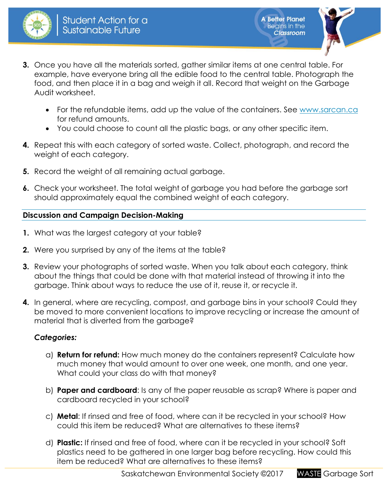



- **3.** Once you have all the materials sorted, gather similar items at one central table. For example, have everyone bring all the edible food to the central table. Photograph the food, and then place it in a bag and weigh it all. Record that weight on the Garbage Audit worksheet.
	- For the refundable items, add up the value of the containers. See [www.sarcan.ca](http://www.sarcan.ca/) for refund amounts.
	- You could choose to count all the plastic bags, or any other specific item.
- **4.** Repeat this with each category of sorted waste. Collect, photograph, and record the weight of each category.
- **5.** Record the weight of all remaining actual garbage.
- **6.** Check your worksheet. The total weight of garbage you had before the garbage sort should approximately equal the combined weight of each category.

## **Discussion and Campaign Decision-Making**

- **1.** What was the largest category at your table?
- **2.** Were you surprised by any of the items at the table?
- **3.** Review your photographs of sorted waste. When you talk about each category, think about the things that could be done with that material instead of throwing it into the garbage. Think about ways to reduce the use of it, reuse it, or recycle it.
- **4.** In general, where are recycling, compost, and garbage bins in your school? Could they be moved to more convenient locations to improve recycling or increase the amount of material that is diverted from the garbage?

## *Categories:*

- a) **Return for refund:** How much money do the containers represent? Calculate how much money that would amount to over one week, one month, and one year. What could your class do with that money?
- b) **Paper and cardboard**: Is any of the paper reusable as scrap? Where is paper and cardboard recycled in your school?
- c) **Metal**: If rinsed and free of food, where can it be recycled in your school? How could this item be reduced? What are alternatives to these items?
- d) **Plastic:** If rinsed and free of food, where can it be recycled in your school? Soft plastics need to be gathered in one larger bag before recycling. How could this item be reduced? What are alternatives to these items?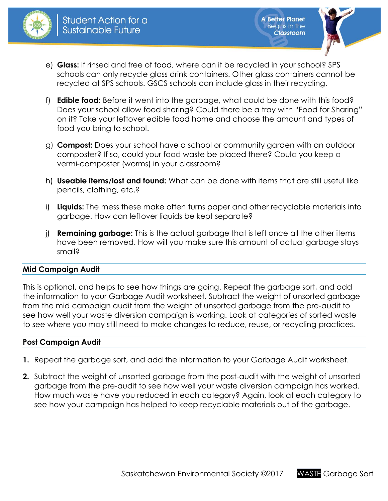



- e) **Glass:** If rinsed and free of food, where can it be recycled in your school? SPS schools can only recycle glass drink containers. Other glass containers cannot be recycled at SPS schools. GSCS schools can include glass in their recycling.
- f) **Edible food:** Before it went into the garbage, what could be done with this food? Does your school allow food sharing? Could there be a tray with "Food for Sharing" on it? Take your leftover edible food home and choose the amount and types of food you bring to school.
- g) **Compost:** Does your school have a school or community garden with an outdoor composter? If so, could your food waste be placed there? Could you keep a vermi-composter (worms) in your classroom?
- h) **Useable items/lost and found:** What can be done with items that are still useful like pencils, clothing, etc.?
- i) **Liquids:** The mess these make often turns paper and other recyclable materials into garbage. How can leftover liquids be kept separate?
- j) **Remaining garbage:** This is the actual garbage that is left once all the other items have been removed. How will you make sure this amount of actual garbage stays small?

### **Mid Campaign Audit**

This is optional, and helps to see how things are going. Repeat the garbage sort, and add the information to your Garbage Audit worksheet. Subtract the weight of unsorted garbage from the mid campaign audit from the weight of unsorted garbage from the pre-audit to see how well your waste diversion campaign is working. Look at categories of sorted waste to see where you may still need to make changes to reduce, reuse, or recycling practices.

### **Post Campaign Audit**

- **1.** Repeat the garbage sort, and add the information to your Garbage Audit worksheet.
- **2.** Subtract the weight of unsorted garbage from the post-audit with the weight of unsorted garbage from the pre-audit to see how well your waste diversion campaign has worked. How much waste have you reduced in each category? Again, look at each category to see how your campaign has helped to keep recyclable materials out of the garbage.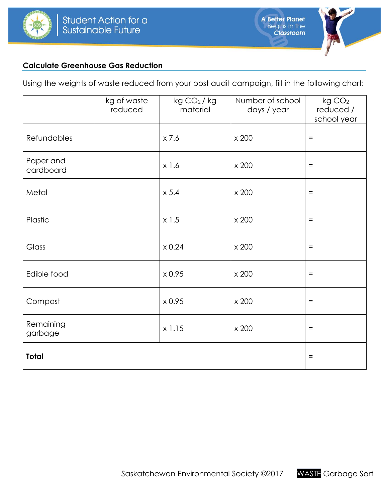



### **Calculate Greenhouse Gas Reduction**

Using the weights of waste reduced from your post audit campaign, fill in the following chart:

|                        | kg of waste<br>reduced | kg CO <sub>2</sub> /kg<br>material | Number of school<br>days / year | kg CO <sub>2</sub><br>reduced /<br>school year |
|------------------------|------------------------|------------------------------------|---------------------------------|------------------------------------------------|
| Refundables            |                        | x 7.6                              | x 200                           | $=$                                            |
| Paper and<br>cardboard |                        | x 1.6                              | x 200                           | $\qquad \qquad =$                              |
| Metal                  |                        | x 5.4                              | x 200                           | $\equiv$                                       |
| Plastic                |                        | $x$ 1.5                            | x 200                           | $=$                                            |
| Glass                  |                        | $\times 0.24$                      | x 200                           | $=$                                            |
| Edible food            |                        | x 0.95                             | x 200                           | $=$                                            |
| Compost                |                        | x 0.95                             | x 200                           | $=$                                            |
| Remaining<br>garbage   |                        | x 1.15                             | x 200                           | $\equiv$                                       |
| <b>Total</b>           |                        |                                    |                                 | $\equiv$                                       |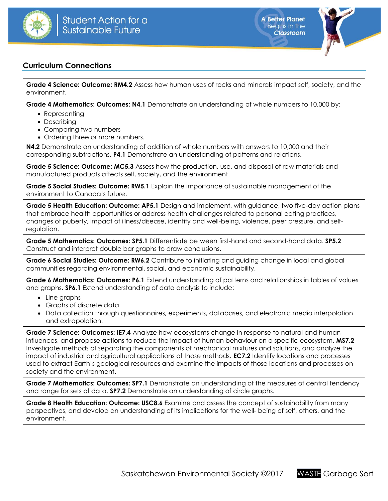



### **Curriculum Connections**

**Grade 4 Science: Outcome: RM4.2** Assess how human uses of rocks and minerals impact self, society, and the environment.

**Grade 4 Mathematics: Outcomes: N4.1** Demonstrate an understanding of whole numbers to 10,000 by:

- Representing
- Describing
- Comparing two numbers
- Ordering three or more numbers.

**N4.2** Demonstrate an understanding of addition of whole numbers with answers to 10,000 and their corresponding subtractions. **P4.1** Demonstrate an understanding of patterns and relations.

**Grade 5 Science: Outcome: MC5.3** Assess how the production, use, and disposal of raw materials and manufactured products affects self, society, and the environment.

**Grade 5 Social Studies: Outcome: RW5.1** Explain the importance of sustainable management of the environment to Canada's future.

**Grade 5 Health Education: Outcome: AP5.1** Design and implement, with guidance, two five-day action plans that embrace health opportunities or address health challenges related to personal eating practices, changes of puberty, impact of illness/disease, identity and well-being, violence, peer pressure, and selfregulation.

**Grade 5 Mathematics: Outcomes: SP5.1** Differentiate between first-hand and second-hand data. **SP5.2** Construct and interpret double bar graphs to draw conclusions.

**Grade 6 Social Studies: Outcome: RW6.2** Contribute to initiating and guiding change in local and global communities regarding environmental, social, and economic sustainability.

**Grade 6 Mathematics: Outcomes: P6.1** Extend understanding of patterns and relationships in tables of values and graphs. **SP6.1** Extend understanding of data analysis to include:

- Line graphs
- Graphs of discrete data
- Data collection through questionnaires, experiments, databases, and electronic media interpolation and extrapolation.

**Grade 7 Science: Outcomes: IE7.4** Analyze how ecosystems change in response to natural and human influences, and propose actions to reduce the impact of human behaviour on a specific ecosystem. **MS7.2**  Investigate methods of separating the components of mechanical mixtures and solutions, and analyze the impact of industrial and agricultural applications of those methods. **EC7.2** Identify locations and processes used to extract Earth's geological resources and examine the impacts of those locations and processes on society and the environment.

**Grade 7 Mathematics: Outcomes: SP7.1** Demonstrate an understanding of the measures of central tendency and range for sets of data. **SP7.2** Demonstrate an understanding of circle graphs.

**Grade 8 Health Education: Outcome: USC8.6** Examine and assess the concept of sustainability from many perspectives, and develop an understanding of its implications for the well- being of self, others, and the environment.